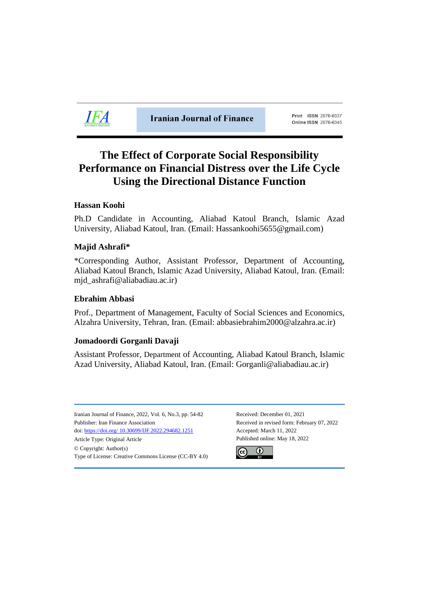

**Iranian Journal of Finance** 

Print ISSN 2676-6337 Online ISSN 2676-6345

# **The Effect of Corporate Social Responsibility Performance on Financial Distress over the Life Cycle Using the Directional Distance Function**

# **Hassan Koohi**

Ph.D Candidate in Accounting, Aliabad Katoul Branch, Islamic Azad University, Aliabad Katoul, Iran. (Email: Hassankoohi5655@gmail.com)

# **Majid Ashrafi\***

\*Corresponding Author, Assistant Professor, Department of Accounting, Aliabad Katoul Branch, Islamic Azad University, Aliabad Katoul, Iran. (Email: mjd\_ashrafi@aliabadiau.ac.ir)

# **Ebrahim Abbasi**

Prof., Department of Management, Faculty of Social Sciences and Economics, Alzahra University, Tehran, Iran. (Email: abbasiebrahim2000@alzahra.ac.ir)

# **Jomadoordi Gorganli Davaji**

Assistant Professor, Department of Accounting, Aliabad Katoul Branch, Islamic Azad University, Aliabad Katoul, Iran. (Email: Gorganli@aliabadiau.ac.ir)

Iranian Journal of Finance, 2022, Vol. 6, No.3, pp. 54-82 Received: December 01, 2021 Publisher: Iran Finance Association Received in revised form: February 07, 2022 doi: https://doi.org/ [10.30699/IJF.2022.294682.1251](https://doi.org/%2010.30699/IJF.2022.294682.1251) Accepted: March 11, 2022 Article Type: Original Article **Published online: May 18**, 2022 © Copyright: Author(s) Type of License: Creative Commons License (CC-BY 4.0)

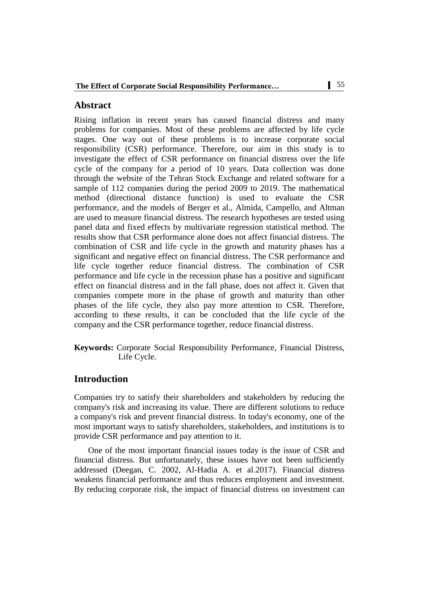# **Abstract**

Rising inflation in recent years has caused financial distress and many problems for companies. Most of these problems are affected by life cycle stages. One way out of these problems is to increase corporate social responsibility (CSR) performance. Therefore, our aim in this study is to investigate the effect of CSR performance on financial distress over the life cycle of the company for a period of 10 years. Data collection was done through the website of the Tehran Stock Exchange and related software for a sample of 112 companies during the period 2009 to 2019. The mathematical method (directional distance function) is used to evaluate the CSR performance, and the models of Berger et al., Almida, Campello, and Altman are used to measure financial distress. The research hypotheses are tested using panel data and fixed effects by multivariate regression statistical method. The results show that CSR performance alone does not affect financial distress. The combination of CSR and life cycle in the growth and maturity phases has a significant and negative effect on financial distress. The CSR performance and life cycle together reduce financial distress. The combination of CSR performance and life cycle in the recession phase has a positive and significant effect on financial distress and in the fall phase, does not affect it. Given that companies compete more in the phase of growth and maturity than other phases of the life cycle, they also pay more attention to CSR. Therefore, according to these results, it can be concluded that the life cycle of the company and the CSR performance together, reduce financial distress.

**Keywords:** Corporate Social Responsibility Performance, Financial Distress, Life Cycle.

# **Introduction**

Companies try to satisfy their shareholders and stakeholders by reducing the company's risk and increasing its value. There are different solutions to reduce a company's risk and prevent financial distress. In today's economy, one of the most important ways to satisfy shareholders, stakeholders, and institutions is to provide CSR performance and pay attention to it.

One of the most important financial issues today is the issue of CSR and financial distress. But unfortunately, these issues have not been sufficiently addressed (Deegan, C. 2002, Al-Hadia A. et al.2017). Financial distress weakens financial performance and thus reduces employment and investment. By reducing corporate risk, the impact of financial distress on investment can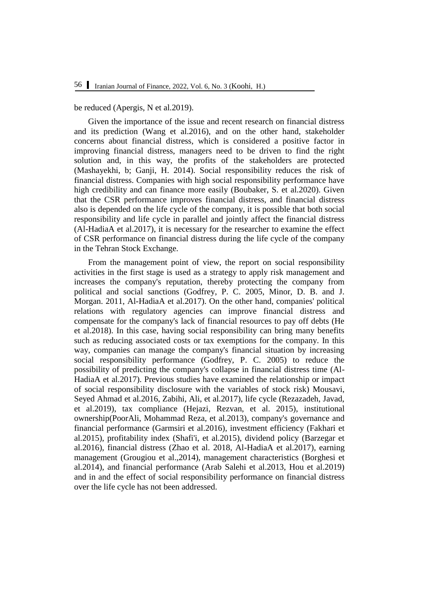be reduced (Apergis, N et al.2019).

Given the importance of the issue and recent research on financial distress and its prediction (Wang et al.2016), and on the other hand, stakeholder concerns about financial distress, which is considered a positive factor in improving financial distress, managers need to be driven to find the right solution and, in this way, the profits of the stakeholders are protected (Mashayekhi, b; Ganji, H. 2014). Social responsibility reduces the risk of financial distress. Companies with high social responsibility performance have high credibility and can finance more easily (Boubaker, S. et al.2020). Given that the CSR performance improves financial distress, and financial distress also is depended on the life cycle of the company, it is possible that both social responsibility and life cycle in parallel and jointly affect the financial distress (Al-HadiaA et al.2017), it is necessary for the researcher to examine the effect of CSR performance on financial distress during the life cycle of the company in the Tehran Stock Exchange.

From the management point of view, the report on social responsibility activities in the first stage is used as a strategy to apply risk management and increases the company's reputation, thereby protecting the company from political and social sanctions (Godfrey, P. C. 2005, Minor, D. B. and J. Morgan. 2011, Al-HadiaA et al.2017). On the other hand, companies' political relations with regulatory agencies can improve financial distress and compensate for the company's lack of financial resources to pay off debts (He et al.2018). In this case, having social responsibility can bring many benefits such as reducing associated costs or tax exemptions for the company. In this way, companies can manage the company's financial situation by increasing social responsibility performance (Godfrey, P. C. 2005) to reduce the possibility of predicting the company's collapse in financial distress time (Al-HadiaA et al.2017). Previous studies have examined the relationship or impact of social responsibility disclosure with the variables of stock risk) Mousavi, Seyed Ahmad et al.2016, Zabihi, Ali, et al.2017), life cycle (Rezazadeh, Javad, et al.2019), tax compliance (Hejazi, Rezvan, et al. 2015), institutional ownership(PoorAli, Mohammad Reza, et al.2013), company's governance and financial performance (Garmsiri et al.2016), investment efficiency (Fakhari et al.2015), profitability index (Shafi'i, et al.2015), dividend policy (Barzegar et al.2016), financial distress (Zhao et al. 2018, Al-HadiaA et al.2017), earning management (Grougiou et al.,2014), management characteristics (Borghesi et al.2014), and financial performance (Arab Salehi et al.2013, Hou et al.2019) and in and the effect of social responsibility performance on financial distress over the life cycle has not been addressed.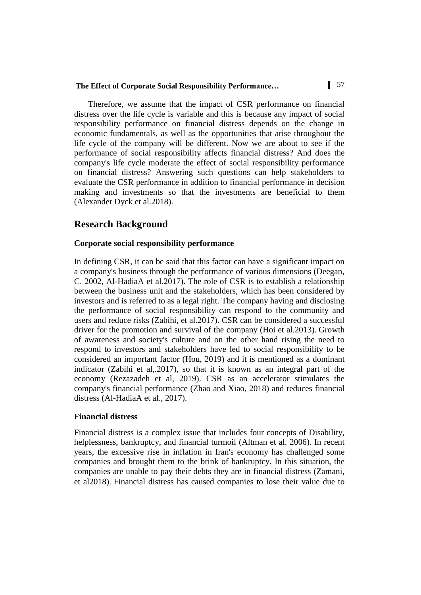Therefore, we assume that the impact of CSR performance on financial distress over the life cycle is variable and this is because any impact of social responsibility performance on financial distress depends on the change in economic fundamentals, as well as the opportunities that arise throughout the life cycle of the company will be different. Now we are about to see if the performance of social responsibility affects financial distress? And does the company's life cycle moderate the effect of social responsibility performance on financial distress? Answering such questions can help stakeholders to evaluate the CSR performance in addition to financial performance in decision making and investments so that the investments are beneficial to them (Alexander Dyck et al.2018).

# **Research Background**

### **Corporate social responsibility performance**

In defining CSR, it can be said that this factor can have a significant impact on a company's business through the performance of various dimensions (Deegan, C. 2002, Al-HadiaA et al.2017). The role of CSR is to establish a relationship between the business unit and the stakeholders, which has been considered by investors and is referred to as a legal right. The company having and disclosing the performance of social responsibility can respond to the community and users and reduce risks (Zabihi, et al.2017). CSR can be considered a successful driver for the promotion and survival of the company (Hoi et al.2013). Growth of awareness and society's culture and on the other hand rising the need to respond to investors and stakeholders have led to social responsibility to be considered an important factor (Hou, 2019) and it is mentioned as a dominant indicator (Zabihi et al,.2017), so that it is known as an integral part of the economy (Rezazadeh et al, 2019). CSR as an accelerator stimulates the company's financial performance (Zhao and Xiao, 2018) and reduces financial distress (Al-HadiaA et al., 2017).

### **Financial distress**

Financial distress is a complex issue that includes four concepts of Disability, helplessness, bankruptcy, and financial turmoil (Altman et al. 2006). In recent years, the excessive rise in inflation in Iran's economy has challenged some companies and brought them to the brink of bankruptcy. In this situation, the companies are unable to pay their debts they are in financial distress (Zamani, et al2018). Financial distress has caused companies to lose their value due to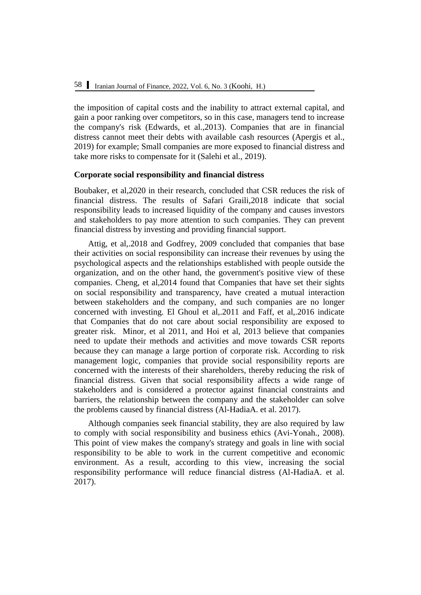the imposition of capital costs and the inability to attract external capital, and gain a poor ranking over competitors, so in this case, managers tend to increase the company's risk (Edwards, et al.,2013). Companies that are in financial distress cannot meet their debts with available cash resources (Apergis et al., 2019) for example; Small companies are more exposed to financial distress and take more risks to compensate for it (Salehi et al., 2019).

#### **Corporate social responsibility and financial distress**

Boubaker, et al,2020 in their research, concluded that CSR reduces the risk of financial distress. The results of Safari Graili,2018 indicate that social responsibility leads to increased liquidity of the company and causes investors and stakeholders to pay more attention to such companies. They can prevent financial distress by investing and providing financial support.

Attig, et al,.2018 and Godfrey, 2009 concluded that companies that base their activities on social responsibility can increase their revenues by using the psychological aspects and the relationships established with people outside the organization, and on the other hand, the government's positive view of these companies. Cheng, et al,2014 found that Companies that have set their sights on social responsibility and transparency, have created a mutual interaction between stakeholders and the company, and such companies are no longer concerned with investing. El Ghoul et al,.2011 and Faff, et al,.2016 indicate that Companies that do not care about social responsibility are exposed to greater risk. Minor, et al 2011, and Hoi et al, 2013 believe that companies need to update their methods and activities and move towards CSR reports because they can manage a large portion of corporate risk. According to risk management logic, companies that provide social responsibility reports are concerned with the interests of their shareholders, thereby reducing the risk of financial distress. Given that social responsibility affects a wide range of stakeholders and is considered a protector against financial constraints and barriers, the relationship between the company and the stakeholder can solve the problems caused by financial distress (Al-HadiaA. et al. 2017).

Although companies seek financial stability, they are also required by law to comply with social responsibility and business ethics (Avi-Yonah., 2008). This point of view makes the company's strategy and goals in line with social responsibility to be able to work in the current competitive and economic environment. As a result, according to this view, increasing the social responsibility performance will reduce financial distress (Al-HadiaA. et al. 2017).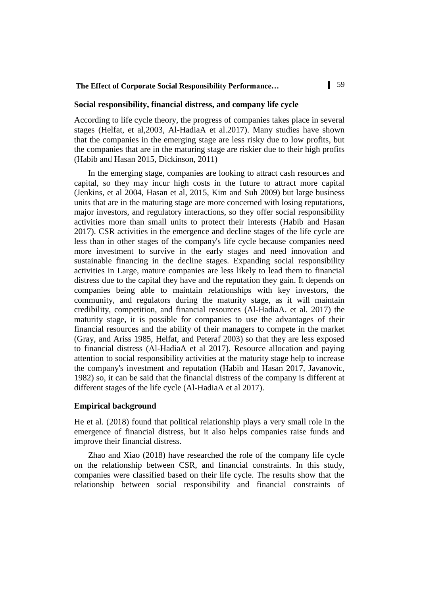#### **Social responsibility, financial distress, and company life cycle**

According to life cycle theory, the progress of companies takes place in several stages (Helfat, et al,2003, Al-HadiaA et al.2017). Many studies have shown that the companies in the emerging stage are less risky due to low profits, but the companies that are in the maturing stage are riskier due to their high profits (Habib and Hasan 2015, Dickinson, 2011)

In the emerging stage, companies are looking to attract cash resources and capital, so they may incur high costs in the future to attract more capital (Jenkins, et al 2004, Hasan et al, 2015, Kim and Suh 2009) but large business units that are in the maturing stage are more concerned with losing reputations, major investors, and regulatory interactions, so they offer social responsibility activities more than small units to protect their interests (Habib and Hasan 2017). CSR activities in the emergence and decline stages of the life cycle are less than in other stages of the company's life cycle because companies need more investment to survive in the early stages and need innovation and sustainable financing in the decline stages. Expanding social responsibility activities in Large, mature companies are less likely to lead them to financial distress due to the capital they have and the reputation they gain. It depends on companies being able to maintain relationships with key investors, the community, and regulators during the maturity stage, as it will maintain credibility, competition, and financial resources (Al-HadiaA. et al. 2017) the maturity stage, it is possible for companies to use the advantages of their financial resources and the ability of their managers to compete in the market (Gray, and Ariss 1985, Helfat, and Peteraf 2003) so that they are less exposed to financial distress (Al-HadiaA et al 2017). Resource allocation and paying attention to social responsibility activities at the maturity stage help to increase the company's investment and reputation (Habib and Hasan 2017, Javanovic, 1982) so, it can be said that the financial distress of the company is different at different stages of the life cycle (Al-HadiaA et al 2017).

#### **Empirical background**

He et al. (2018) found that political relationship plays a very small role in the emergence of financial distress, but it also helps companies raise funds and improve their financial distress.

Zhao and Xiao (2018) have researched the role of the company life cycle on the relationship between CSR, and financial constraints. In this study, companies were classified based on their life cycle. The results show that the relationship between social responsibility and financial constraints of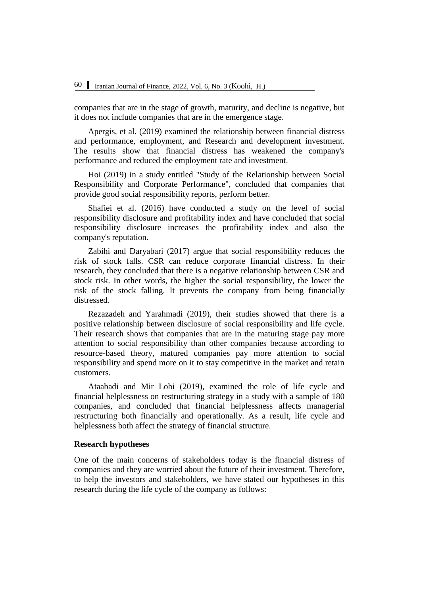companies that are in the stage of growth, maturity, and decline is negative, but it does not include companies that are in the emergence stage.

Apergis, et al. (2019) examined the relationship between financial distress and performance, employment, and Research and development investment. The results show that financial distress has weakened the company's performance and reduced the employment rate and investment.

Hoi (2019) in a study entitled "Study of the Relationship between Social Responsibility and Corporate Performance", concluded that companies that provide good social responsibility reports, perform better.

Shafiei et al. (2016) have conducted a study on the level of social responsibility disclosure and profitability index and have concluded that social responsibility disclosure increases the profitability index and also the company's reputation.

Zabihi and Daryabari (2017) argue that social responsibility reduces the risk of stock falls. CSR can reduce corporate financial distress. In their research, they concluded that there is a negative relationship between CSR and stock risk. In other words, the higher the social responsibility, the lower the risk of the stock falling. It prevents the company from being financially distressed.

Rezazadeh and Yarahmadi (2019), their studies showed that there is a positive relationship between disclosure of social responsibility and life cycle. Their research shows that companies that are in the maturing stage pay more attention to social responsibility than other companies because according to resource-based theory, matured companies pay more attention to social responsibility and spend more on it to stay competitive in the market and retain customers.

Ataabadi and Mir Lohi (2019), examined the role of life cycle and financial helplessness on restructuring strategy in a study with a sample of 180 companies, and concluded that financial helplessness affects managerial restructuring both financially and operationally. As a result, life cycle and helplessness both affect the strategy of financial structure.

#### **Research hypotheses**

One of the main concerns of stakeholders today is the financial distress of companies and they are worried about the future of their investment. Therefore, to help the investors and stakeholders, we have stated our hypotheses in this research during the life cycle of the company as follows: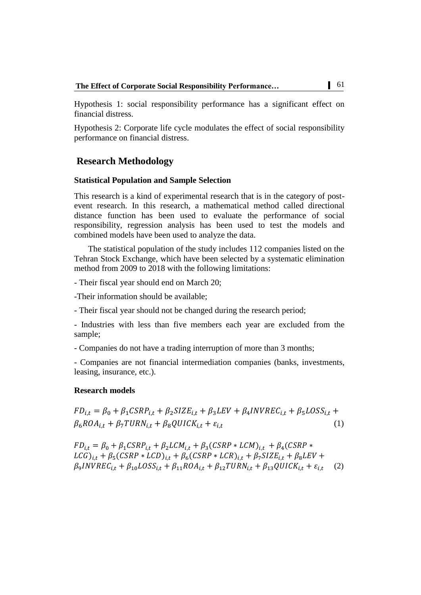Hypothesis 1: social responsibility performance has a significant effect on financial distress.

Hypothesis 2: Corporate life cycle modulates the effect of social responsibility performance on financial distress.

# **Research Methodology**

#### **Statistical Population and Sample Selection**

This research is a kind of experimental research that is in the category of postevent research. In this research, a mathematical method called directional distance function has been used to evaluate the performance of social responsibility, regression analysis has been used to test the models and combined models have been used to analyze the data.

The statistical population of the study includes 112 companies listed on the Tehran Stock Exchange, which have been selected by a systematic elimination method from 2009 to 2018 with the following limitations:

- Their fiscal year should end on March 20;

-Their information should be available;

- Their fiscal year should not be changed during the research period;

- Industries with less than five members each year are excluded from the sample;

- Companies do not have a trading interruption of more than 3 months;

- Companies are not financial intermediation companies (banks, investments, leasing, insurance, etc.).

#### **Research models**

$$
FD_{i,t} = \beta_0 + \beta_1 CSP_{i,t} + \beta_2 SIZE_{i,t} + \beta_3 LEV + \beta_4 INVREC_{i,t} + \beta_5 LOS_{i,t} + \beta_6 ROA_{i,t} + \beta_7 URN_{i,t} + \beta_8 QUICK_{i,t} + \varepsilon_{i,t}
$$
\n(1)

 $FD_{i,t} = \beta_0 + \beta_1 CSRP_{i,t} + \beta_2 LCM_{i,t} + \beta_3 (CSRP * LCM)_{i,t} + \beta_4 (CSRP * LCM)_{i,t}$  $LCG)_{i.t} + \beta_5 (CSRP * LCD)_{i.t} + \beta_6 ($  $\beta_{9}$ I (2)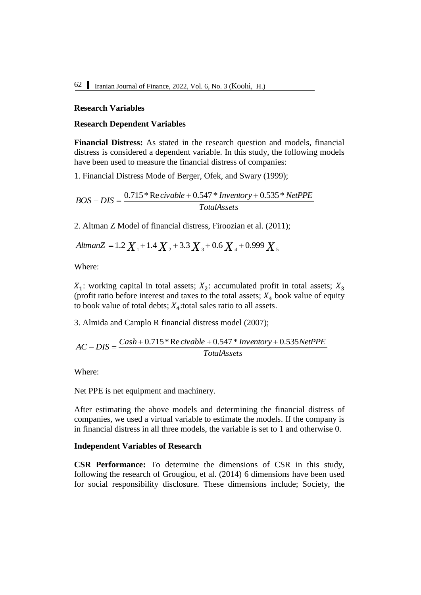#### **Research Variables**

#### **Research Dependent Variables**

**Financial Distress:** As stated in the research question and models, financial distress is considered a dependent variable. In this study, the following models have been used to measure the financial distress of companies:

1. Financial Distress Mode of Berger, Ofek, and Swary (1999);

*TotalAssets*  $BOS - DIS = \frac{0.715 * \text{Re} \, civable + 0.547 * Inventory + 0.535 * NetPPE}$ 

2. Altman Z Model of financial distress, Firoozian et al. (2011);

*AltmanZ* = 1.2  $X_1$  + 1.4  $X_2$  + 3.3  $X_3$  + 0.6  $X_4$  + 0.999  $X_5$ 

Where:

 $X_1$ : working capital in total assets;  $X_2$ : accumulated profit in total assets;  $X_3$ (profit ratio before interest and taxes to the total assets;  $X_4$  book value of equity to book value of total debts;  $X_4$ : total sales ratio to all assets.

3. Almida and Camplo R financial distress model (2007);

$$
AC-DIS = \frac{Cash + 0.715 * Re\, civable + 0.547 * Inventory + 0.535NetPPE}{TotalAssets}
$$

Where:

Net PPE is net equipment and machinery.

After estimating the above models and determining the financial distress of companies, we used a virtual variable to estimate the models. If the company is in financial distress in all three models, the variable is set to 1 and otherwise 0.

#### **Independent Variables of Research**

**CSR Performance:** To determine the dimensions of CSR in this study, following the research of Grougiou, et al. (2014) 6 dimensions have been used for social responsibility disclosure. These dimensions include; Society, the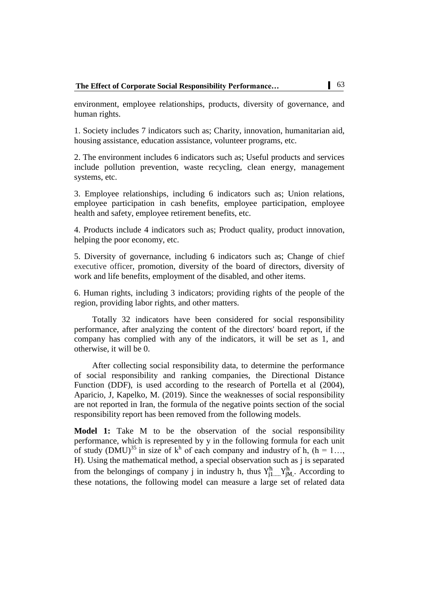environment, employee relationships, products, diversity of governance, and human rights.

1. Society includes 7 indicators such as; Charity, innovation, humanitarian aid, housing assistance, education assistance, volunteer programs, etc.

2. The environment includes 6 indicators such as; Useful products and services include pollution prevention, waste recycling, clean energy, management systems, etc.

3. Employee relationships, including 6 indicators such as; Union relations, employee participation in cash benefits, employee participation, employee health and safety, employee retirement benefits, etc.

4. Products include 4 indicators such as; Product quality, product innovation, helping the poor economy, etc.

5. Diversity of governance, including 6 indicators such as; Change of chief executive officer, promotion, diversity of the board of directors, diversity of work and life benefits, employment of the disabled, and other items.

6. Human rights, including 3 indicators; providing rights of the people of the region, providing labor rights, and other matters.

Totally 32 indicators have been considered for social responsibility performance, after analyzing the content of the directors' board report, if the company has complied with any of the indicators, it will be set as 1, and otherwise, it will be 0.

After collecting social responsibility data, to determine the performance of social responsibility and ranking companies, the Directional Distance Function (DDF), is used according to the research of Portella et al (2004), Aparicio, J, Kapelko, M. (2019). Since the weaknesses of social responsibility are not reported in Iran, the formula of the negative points section of the social responsibility report has been removed from the following models.

**Model 1:** Take M to be the observation of the social responsibility performance, which is represented by y in the following formula for each unit of study (DMU)<sup>35</sup> in size of  $k^h$  of each company and industry of h, (h = 1..., H). Using the mathematical method, a special observation such as j is separated from the belongings of company j in industry h, thus  $Y_{i1}^h$ ,  $Y_{iM}^h$ . According to these notations, the following model can measure a large set of related data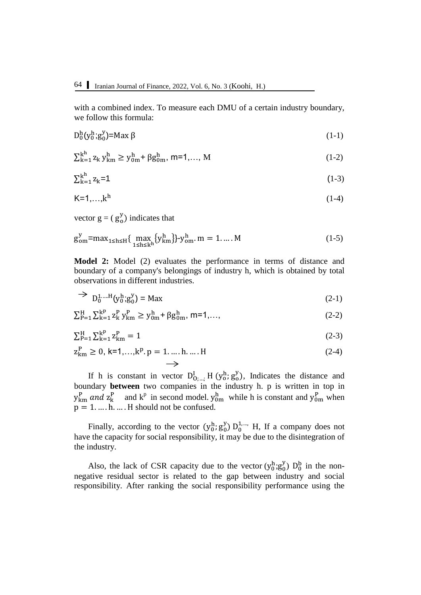with a combined index. To measure each DMU of a certain industry boundary, we follow this formula:

$$
D_0^h(y_0^h; g_0^y) = Max \beta \tag{1-1}
$$

$$
\sum_{k=1}^{k} z_k y_{km}^h \ge y_{0m}^h + \beta g_{0m}^h, \, m=1,..., \, M \tag{1-2}
$$

$$
\sum_{k=1}^{k} z_k = 1 \tag{1-3}
$$

$$
K=1,\ldots,k^h\tag{1-4}
$$

vector  $g = (g_0^y)$  indicates that

and a string

$$
g_{\text{om}}^{y} = \max_{1 \le h \le H} \{ \max_{1 \le h \le k^{h}} \{ y_{km}^{h} \} - y_{\text{om}}^{h} \} \cdot m = 1, \dots, M \tag{1-5}
$$

**Model 2:** Model (2) evaluates the performance in terms of distance and boundary of a company's belongings of industry h, which is obtained by total observations in different industries.

$$
\Rightarrow D_0^{1,\dots,H}(y_0^h;g_0^y) = \text{Max} \tag{2-1}
$$

$$
\sum_{P=1}^{H} \sum_{k=1}^{k^{p}} z_{k}^{P} y_{km}^{P} \ge y_{0m}^{h} + \beta g_{0m}^{h}, \, m=1,...,\tag{2-2}
$$

$$
\sum_{P=1}^{H} \sum_{k=1}^{k^{P}} z_{km}^{P} = 1
$$
\n(2-3)

$$
z_{km}^P \ge 0, k=1,...,k^p, p = 1,...,h,...,H
$$
\n
$$
(2-4)
$$

If h is constant in vector  $D_{0}^I$ ,  $H(y_0^h, g_0^y)$ , Indicates the distance and boundary **between** two companies in the industry h. p is written in top in  $y_{km}^P$  and  $z_k^P$  and  $k^P$  in second model.  $y_{0m}^h$  while h is constant and  $y_{0m}^P$  when  $p = 1, \dots, h, \dots$  H should not be confused.

Finally, according to the vector  $(y_0^h, g_0^y) D_0^{1,...,1}$  H, If a company does not have the capacity for social responsibility, it may be due to the disintegration of the industry.

Also, the lack of CSR capacity due to the vector  $(y_0^h; g_0^y) D_0^b$  in the nonnegative residual sector is related to the gap between industry and social responsibility. After ranking the social responsibility performance using the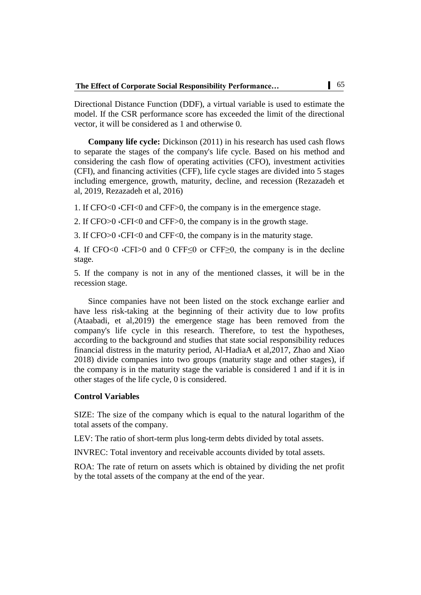Directional Distance Function (DDF), a virtual variable is used to estimate the model. If the CSR performance score has exceeded the limit of the directional vector, it will be considered as 1 and otherwise 0.

**Company life cycle:** Dickinson (2011) in his research has used cash flows to separate the stages of the company's life cycle. Based on his method and considering the cash flow of operating activities (CFO), investment activities (CFI), and financing activities (CFF), life cycle stages are divided into 5 stages including emergence, growth, maturity, decline, and recession (Rezazadeh et al, 2019, Rezazadeh et al, 2016)

1. If CFO<0 ،CFI<0 and CFF>0, the company is in the emergence stage.

2. If CFO>0 ،CFI<0 and CFF>0, the company is in the growth stage.

3. If CFO>0 ،CFI<0 and CFF<0, the company is in the maturity stage.

4. If CFO<0  $\cdot$ CFI $>0$  and 0 CFF $\leq$ 0 or CFF $\geq$ 0, the company is in the decline stage.

5. If the company is not in any of the mentioned classes, it will be in the recession stage.

Since companies have not been listed on the stock exchange earlier and have less risk-taking at the beginning of their activity due to low profits (Ataabadi, et al,2019) the emergence stage has been removed from the company's life cycle in this research. Therefore, to test the hypotheses, according to the background and studies that state social responsibility reduces financial distress in the maturity period, Al-HadiaA et al,2017, Zhao and Xiao 2018) divide companies into two groups (maturity stage and other stages), if the company is in the maturity stage the variable is considered 1 and if it is in other stages of the life cycle, 0 is considered.

#### **Control Variables**

SIZE: The size of the company which is equal to the natural logarithm of the total assets of the company.

LEV: The ratio of short-term plus long-term debts divided by total assets.

INVREC: Total inventory and receivable accounts divided by total assets.

ROA: The rate of return on assets which is obtained by dividing the net profit by the total assets of the company at the end of the year.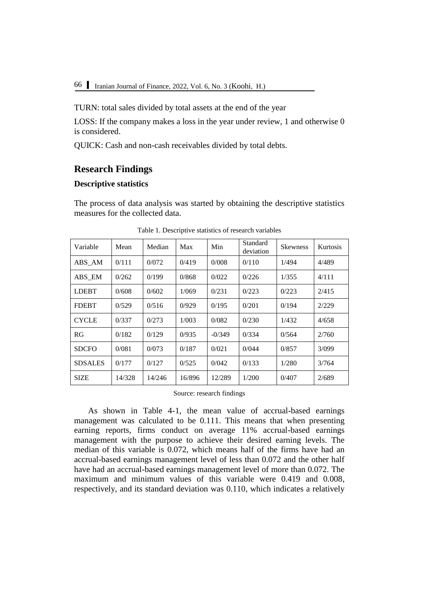TURN: total sales divided by total assets at the end of the year

LOSS: If the company makes a loss in the year under review, 1 and otherwise 0 is considered.

QUICK: Cash and non-cash receivables divided by total debts.

# **Research Findings**

# **Descriptive statistics**

The process of data analysis was started by obtaining the descriptive statistics measures for the collected data.

| Variable       | Mean   | Median | Max    | Min      | Standard<br>deviation | <b>Skewness</b> | Kurtosis |
|----------------|--------|--------|--------|----------|-----------------------|-----------------|----------|
| ABS AM         | 0/111  | 0/072  | 0/419  | 0/008    | 0/110                 | 1/494           | 4/489    |
| ABS EM         | 0/262  | 0/199  | 0/868  | 0/022    | 0/226                 | 1/355           | 4/111    |
| <b>LDEBT</b>   | 0/608  | 0/602  | 1/069  | 0/231    | 0/223                 | 0/223           | 2/415    |
| <b>FDEBT</b>   | 0/529  | 0/516  | 0/929  | 0/195    | 0/201                 | 0/194           | 2/229    |
| <b>CYCLE</b>   | 0/337  | 0/273  | 1/003  | 0/082    | 0/230                 | 1/432           | 4/658    |
| RG             | 0/182  | 0/129  | 0/935  | $-0/349$ | 0/334                 | 0/564           | 2/760    |
| <b>SDCFO</b>   | 0/081  | 0/073  | 0/187  | 0/021    | 0/044                 | 0/857           | 3/099    |
| <b>SDSALES</b> | 0/177  | 0/127  | 0/525  | 0/042    | 0/133                 | 1/280           | 3/764    |
| <b>SIZE</b>    | 14/328 | 14/246 | 16/896 | 12/289   | 1/200                 | 0/407           | 2/689    |

Table 1. Descriptive statistics of research variables

Source: research findings

As shown in Table 4-1, the mean value of accrual-based earnings management was calculated to be 0.111. This means that when presenting earning reports, firms conduct on average 11% accrual-based earnings management with the purpose to achieve their desired earning levels. The median of this variable is 0.072, which means half of the firms have had an accrual-based earnings management level of less than 0.072 and the other half have had an accrual-based earnings management level of more than 0.072. The maximum and minimum values of this variable were 0.419 and 0.008, respectively, and its standard deviation was 0.110, which indicates a relatively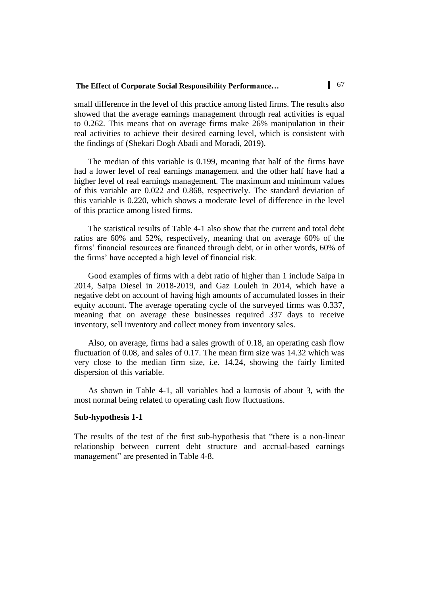small difference in the level of this practice among listed firms. The results also showed that the average earnings management through real activities is equal to 0.262. This means that on average firms make 26% manipulation in their real activities to achieve their desired earning level, which is consistent with the findings of (Shekari Dogh Abadi and Moradi, 2019).

The median of this variable is 0.199, meaning that half of the firms have had a lower level of real earnings management and the other half have had a higher level of real earnings management. The maximum and minimum values of this variable are 0.022 and 0.868, respectively. The standard deviation of this variable is 0.220, which shows a moderate level of difference in the level of this practice among listed firms.

The statistical results of Table 4-1 also show that the current and total debt ratios are 60% and 52%, respectively, meaning that on average 60% of the firms' financial resources are financed through debt, or in other words, 60% of the firms' have accepted a high level of financial risk.

Good examples of firms with a debt ratio of higher than 1 include Saipa in 2014, Saipa Diesel in 2018-2019, and Gaz Louleh in 2014, which have a negative debt on account of having high amounts of accumulated losses in their equity account. The average operating cycle of the surveyed firms was 0.337, meaning that on average these businesses required 337 days to receive inventory, sell inventory and collect money from inventory sales.

Also, on average, firms had a sales growth of 0.18, an operating cash flow fluctuation of 0.08, and sales of 0.17. The mean firm size was 14.32 which was very close to the median firm size, i.e. 14.24, showing the fairly limited dispersion of this variable.

As shown in Table 4-1, all variables had a kurtosis of about 3, with the most normal being related to operating cash flow fluctuations.

#### **Sub-hypothesis 1-1**

The results of the test of the first sub-hypothesis that "there is a non-linear relationship between current debt structure and accrual-based earnings management" are presented in Table 4-8.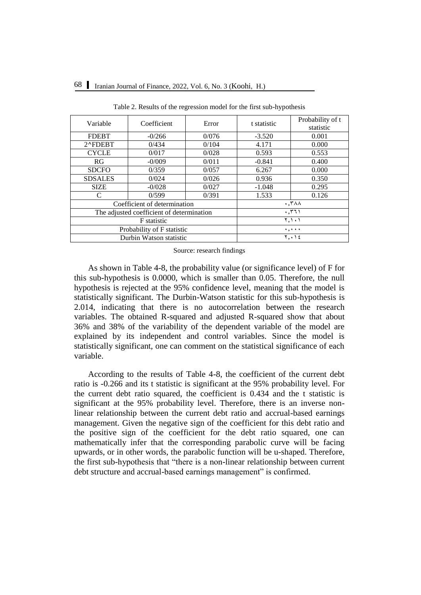| Variable                   | Coefficient                               | Error | t statistic                            | Probability of t<br>statistic |  |
|----------------------------|-------------------------------------------|-------|----------------------------------------|-------------------------------|--|
| <b>FDEBT</b>               | $-0/266$                                  | 0/076 | $-3.520$                               | 0.001                         |  |
| 2^FDEBT                    | 0/434                                     | 0/104 | 4.171                                  | 0.000                         |  |
| <b>CYCLE</b>               | 0/017                                     | 0/028 | 0.593                                  | 0.553                         |  |
| <b>RG</b>                  | $-0/009$                                  | 0/011 | $-0.841$                               | 0.400                         |  |
| <b>SDCFO</b>               | 0/359                                     | 0/057 | 6.267                                  | 0.000                         |  |
| <b>SDSALES</b>             | 0/024                                     | 0/026 | 0.936                                  | 0.350                         |  |
| <b>SIZE</b>                | $-0/028$                                  | 0/027 | $-1.048$                               | 0.295                         |  |
| C                          | 0/599                                     | 0/391 | 1.533                                  | 0.126                         |  |
|                            | Coefficient of determination              |       |                                        | $\cdot$ , ۳۸۸                 |  |
|                            | The adjusted coefficient of determination |       | .771                                   |                               |  |
| <b>F</b> statistic         |                                           |       | Y, Y, Y                                |                               |  |
| Probability of F statistic |                                           |       | $\mathbf{v} = \mathbf{v} + \mathbf{v}$ |                               |  |
|                            | Durbin Watson statistic                   |       | $Y, \cdot$ \ {                         |                               |  |

Table 2. Results of the regression model for the first sub-hypothesis

Source: research findings

As shown in Table 4-8, the probability value (or significance level) of F for this sub-hypothesis is 0.0000, which is smaller than 0.05. Therefore, the null hypothesis is rejected at the 95% confidence level, meaning that the model is statistically significant. The Durbin-Watson statistic for this sub-hypothesis is 2.014, indicating that there is no autocorrelation between the research variables. The obtained R-squared and adjusted R-squared show that about 36% and 38% of the variability of the dependent variable of the model are explained by its independent and control variables. Since the model is statistically significant, one can comment on the statistical significance of each variable.

According to the results of Table 4-8, the coefficient of the current debt ratio is -0.266 and its t statistic is significant at the 95% probability level. For the current debt ratio squared, the coefficient is 0.434 and the t statistic is significant at the 95% probability level. Therefore, there is an inverse nonlinear relationship between the current debt ratio and accrual-based earnings management. Given the negative sign of the coefficient for this debt ratio and the positive sign of the coefficient for the debt ratio squared, one can mathematically infer that the corresponding parabolic curve will be facing upwards, or in other words, the parabolic function will be u-shaped. Therefore, the first sub-hypothesis that "there is a non-linear relationship between current debt structure and accrual-based earnings management" is confirmed.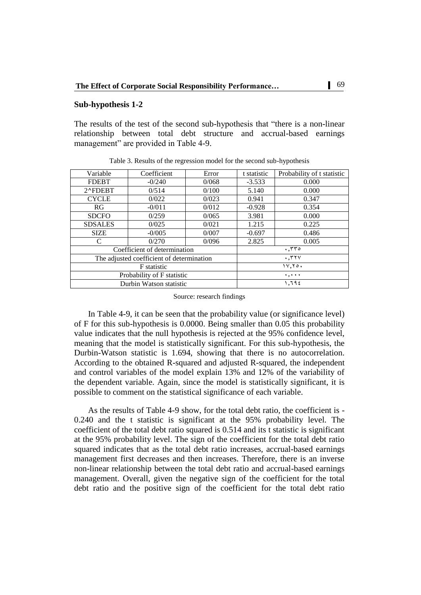#### **Sub-hypothesis 1-2**

The results of the test of the second sub-hypothesis that "there is a non-linear relationship between total debt structure and accrual-based earnings management" are provided in Table 4-9.

| Variable                   | Coefficient                               | Error | t statistic | Probability of t statistic |  |  |
|----------------------------|-------------------------------------------|-------|-------------|----------------------------|--|--|
| <b>FDEBT</b>               | $-0/240$                                  | 0/068 | $-3.533$    | 0.000                      |  |  |
| 2^FDEBT                    | 0/514                                     | 0/100 | 5.140       | 0.000                      |  |  |
| <b>CYCLE</b>               | 0/022                                     | 0/023 | 0.941       | 0.347                      |  |  |
| RG                         | $-0/011$                                  | 0/012 | $-0.928$    | 0.354                      |  |  |
| <b>SDCFO</b>               | 0/259                                     | 0/065 | 3.981       | 0.000                      |  |  |
| <b>SDSALES</b>             | 0/025                                     | 0/021 | 1.215       | 0.225                      |  |  |
| <b>SIZE</b>                | $-0/005$                                  | 0/007 | $-0.697$    | 0.486                      |  |  |
| C                          | 0/270                                     | 0/096 | 2.825       | 0.005                      |  |  |
|                            | Coefficient of determination              |       |             | .770                       |  |  |
|                            | The adjusted coefficient of determination |       |             | $\cdot$ , $\tau \tau \vee$ |  |  |
| <b>F</b> statistic         |                                           |       |             | 11.70.                     |  |  |
| Probability of F statistic |                                           |       |             | $\cdots$                   |  |  |
|                            | Durbin Watson statistic                   |       |             | 1.792                      |  |  |

Table 3. Results of the regression model for the second sub-hypothesis

Source: research findings

In Table 4-9, it can be seen that the probability value (or significance level) of F for this sub-hypothesis is 0.0000. Being smaller than 0.05 this probability value indicates that the null hypothesis is rejected at the 95% confidence level, meaning that the model is statistically significant. For this sub-hypothesis, the Durbin-Watson statistic is 1.694, showing that there is no autocorrelation. According to the obtained R-squared and adjusted R-squared, the independent and control variables of the model explain 13% and 12% of the variability of the dependent variable. Again, since the model is statistically significant, it is possible to comment on the statistical significance of each variable.

As the results of Table 4-9 show, for the total debt ratio, the coefficient is - 0.240 and the t statistic is significant at the 95% probability level. The coefficient of the total debt ratio squared is 0.514 and its t statistic is significant at the 95% probability level. The sign of the coefficient for the total debt ratio squared indicates that as the total debt ratio increases, accrual-based earnings management first decreases and then increases. Therefore, there is an inverse non-linear relationship between the total debt ratio and accrual-based earnings management. Overall, given the negative sign of the coefficient for the total debt ratio and the positive sign of the coefficient for the total debt ratio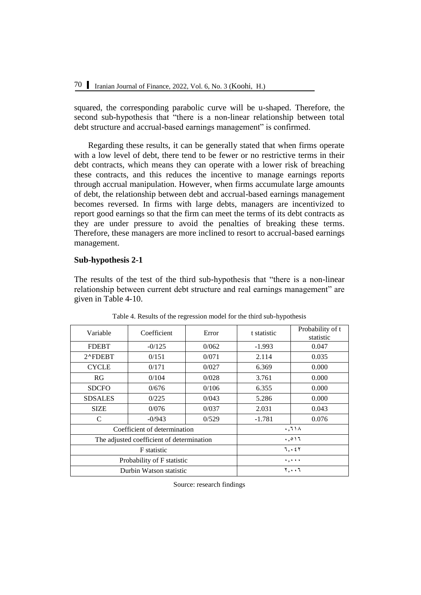squared, the corresponding parabolic curve will be u-shaped. Therefore, the second sub-hypothesis that "there is a non-linear relationship between total debt structure and accrual-based earnings management" is confirmed.

Regarding these results, it can be generally stated that when firms operate with a low level of debt, there tend to be fewer or no restrictive terms in their debt contracts, which means they can operate with a lower risk of breaching these contracts, and this reduces the incentive to manage earnings reports through accrual manipulation. However, when firms accumulate large amounts of debt, the relationship between debt and accrual-based earnings management becomes reversed. In firms with large debts, managers are incentivized to report good earnings so that the firm can meet the terms of its debt contracts as they are under pressure to avoid the penalties of breaking these terms. Therefore, these managers are more inclined to resort to accrual-based earnings management.

# **Sub-hypothesis 2-1**

The results of the test of the third sub-hypothesis that "there is a non-linear relationship between current debt structure and real earnings management" are given in Table 4-10.

| Variable                   | Coefficient                               | Error | t statistic                         | Probability of t<br>statistic |  |
|----------------------------|-------------------------------------------|-------|-------------------------------------|-------------------------------|--|
| <b>FDEBT</b>               | $-0/125$                                  | 0/062 | $-1.993$                            | 0.047                         |  |
| 2^FDEBT                    | 0/151                                     | 0/071 | 2.114                               | 0.035                         |  |
| <b>CYCLE</b>               | 0/171                                     | 0/027 | 6.369                               | 0.000                         |  |
| RG                         | 0/104                                     | 0/028 | 3.761                               | 0.000                         |  |
| <b>SDCFO</b>               | 0/676                                     | 0/106 | 6.355                               | 0.000                         |  |
| <b>SDSALES</b>             | 0/225                                     | 0/043 | 5.286                               | 0.000                         |  |
| <b>SIZE</b>                | 0/076                                     | 0/037 | 2.031                               | 0.043                         |  |
| C                          | $-0/943$                                  | 0/529 | $-1.781$                            | 0.076                         |  |
|                            | Coefficient of determination              |       |                                     | .71A                          |  |
|                            | The adjusted coefficient of determination |       | .017                                |                               |  |
| <b>F</b> statistic         |                                           |       | 7.757                               |                               |  |
| Probability of F statistic |                                           |       | $\ldots$                            |                               |  |
|                            | Durbin Watson statistic                   |       | $\mathbf{y} \cdot \cdot \mathbf{y}$ |                               |  |

Table 4. Results of the regression model for the third sub-hypothesis

Source: research findings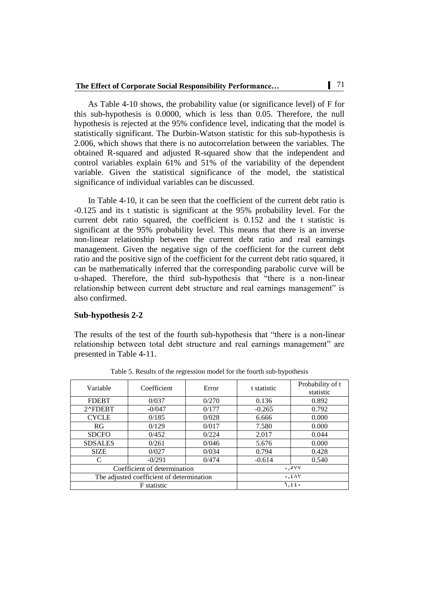As Table 4-10 shows, the probability value (or significance level) of F for this sub-hypothesis is 0.0000, which is less than 0.05. Therefore, the null hypothesis is rejected at the 95% confidence level, indicating that the model is statistically significant. The Durbin-Watson statistic for this sub-hypothesis is 2.006, which shows that there is no autocorrelation between the variables. The obtained R-squared and adjusted R-squared show that the independent and control variables explain 61% and 51% of the variability of the dependent variable. Given the statistical significance of the model, the statistical significance of individual variables can be discussed.

In Table 4-10, it can be seen that the coefficient of the current debt ratio is -0.125 and its t statistic is significant at the 95% probability level. For the current debt ratio squared, the coefficient is 0.152 and the t statistic is significant at the 95% probability level. This means that there is an inverse non-linear relationship between the current debt ratio and real earnings management. Given the negative sign of the coefficient for the current debt ratio and the positive sign of the coefficient for the current debt ratio squared, it can be mathematically inferred that the corresponding parabolic curve will be u-shaped. Therefore, the third sub-hypothesis that "there is a non-linear relationship between current debt structure and real earnings management" is also confirmed.

#### **Sub-hypothesis 2-2**

The results of the test of the fourth sub-hypothesis that "there is a non-linear relationship between total debt structure and real earnings management" are presented in Table 4-11.

| Variable                                  | Coefficient        | Error | t statistic   | Probability of t<br>statistic |
|-------------------------------------------|--------------------|-------|---------------|-------------------------------|
| <b>FDEBT</b>                              | 0/037              | 0/270 | 0.136         | 0.892                         |
| 2^FDEBT                                   | $-0/047$           | 0/177 | $-0.265$      | 0.792                         |
| <b>CYCLE</b>                              | 0/185              | 0/028 | 6.666         | 0.000                         |
| RG.                                       | 0/129              | 0/017 | 7.580         | 0.000                         |
| <b>SDCFO</b>                              | 0/452              | 0/224 | 2.017         | 0.044                         |
| <b>SDSALES</b>                            | 0/261              | 0/046 | 5.676         | 0.000                         |
| <b>SIZE</b>                               | 0/027              | 0/034 | 0.794         | 0.428                         |
| C                                         | $-0/291$           | 0/474 | $-0.614$      | 0.540                         |
| Coefficient of determination              |                    |       | $\cdot$ , ovv |                               |
| The adjusted coefficient of determination |                    |       |               | $\cdot$ , $2\wedge\vee$       |
|                                           | <b>F</b> statistic |       |               | 1, 22.                        |

Table 5. Results of the regression model for the fourth sub-hypothesis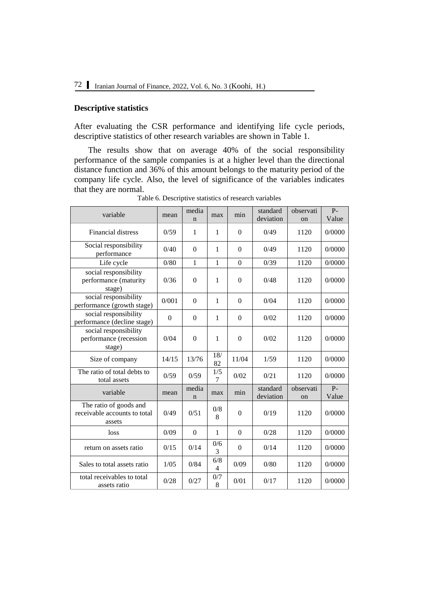# **Descriptive statistics**

After evaluating the CSR performance and identifying life cycle periods, descriptive statistics of other research variables are shown in Table 1.

The results show that on average 40% of the social responsibility performance of the sample companies is at a higher level than the directional distance function and 36% of this amount belongs to the maturity period of the company life cycle. Also, the level of significance of the variables indicates that they are normal.

| variable                                                         | mean     | media<br>n           | max                             | min              | standard<br>deviation | observati<br>on | $P-$<br>Value  |
|------------------------------------------------------------------|----------|----------------------|---------------------------------|------------------|-----------------------|-----------------|----------------|
| <b>Financial distress</b>                                        | 0/59     | $\mathbf{1}$         | 1                               | $\Omega$         | 0/49                  | 1120            | 0/0000         |
| Social responsibility<br>performance                             | 0/40     | $\boldsymbol{0}$     | 1                               | $\Omega$         | 0/49                  | 1120            | 0/0000         |
| Life cycle                                                       | 0/80     | $\mathbf{1}$         | $\mathbf{1}$                    | $\Omega$         | 0/39                  | 1120            | 0/0000         |
| social responsibility<br>performance (maturity<br>stage)         | 0/36     | $\overline{0}$       | $\mathbf{1}$                    | $\Omega$         | 0/48                  | 1120            | 0/0000         |
| social responsibility<br>performance (growth stage)              | 0/001    | $\theta$             | $\mathbf{1}$                    | $\Omega$         | 0/04                  | 1120            | 0/0000         |
| social responsibility<br>performance (decline stage)             | $\theta$ | $\theta$             | 1                               | $\Omega$         | 0/02                  | 1120            | 0/0000         |
| social responsibility<br>performance (recession<br>stage)        | 0/04     | $\boldsymbol{0}$     | $\mathbf{1}$                    | $\boldsymbol{0}$ | 0/02                  | 1120            | 0/0000         |
| Size of company                                                  | 14/15    | 13/76                | 18/<br>82                       | 11/04            | 1/59                  | 1120            | 0/0000         |
| The ratio of total debts to<br>total assets                      | 0/59     | 0/59                 | 1/5<br>7                        | 0/02             | 0/21                  | 1120            | 0/0000         |
| variable                                                         | mean     | media<br>$\mathbf n$ | max                             | min              | standard<br>deviation | observati<br>on | $P -$<br>Value |
| The ratio of goods and<br>receivable accounts to total<br>assets | 0/49     | 0/51                 | 0/8<br>8                        | $\Omega$         | 0/19                  | 1120            | 0/0000         |
| loss                                                             | 0/09     | $\overline{0}$       | 1                               | $\Omega$         | 0/28                  | 1120            | 0/0000         |
| return on assets ratio                                           | 0/15     | 0/14                 | 0/6<br>3                        | $\overline{0}$   | 0/14                  | 1120            | 0/0000         |
| Sales to total assets ratio                                      | 1/05     | 0/84                 | 6/8<br>$\overline{\mathcal{L}}$ | 0/09             | 0/80                  | 1120            | 0/0000         |
| total receivables to total<br>assets ratio                       | 0/28     | 0/27                 | 0/7<br>8                        | 0/01             | 0/17                  | 1120            | 0/0000         |

Table 6. Descriptive statistics of research variables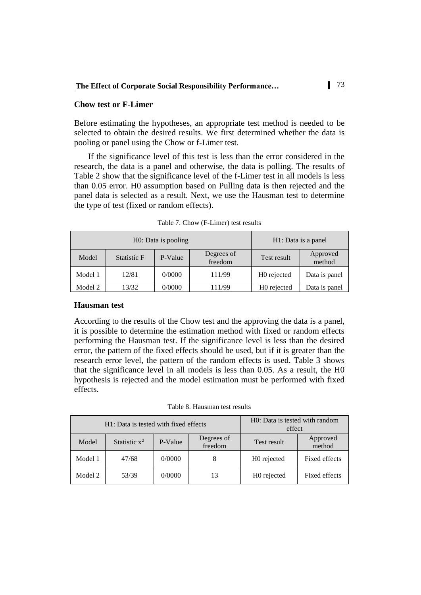### **Chow test or F-Limer**

Before estimating the hypotheses, an appropriate test method is needed to be selected to obtain the desired results. We first determined whether the data is pooling or panel using the Chow or f-Limer test.

If the significance level of this test is less than the error considered in the research, the data is a panel and otherwise, the data is polling. The results of Table 2 show that the significance level of the f-Limer test in all models is less than 0.05 error. H0 assumption based on Pulling data is then rejected and the panel data is selected as a result. Next, we use the Hausman test to determine the type of test (fixed or random effects).

|         | H0: Data is pooling |         | H1: Data is a panel   |                         |                    |
|---------|---------------------|---------|-----------------------|-------------------------|--------------------|
| Model   | Statistic F         | P-Value | Degrees of<br>freedom | Test result             | Approved<br>method |
| Model 1 | 12/81               | 0/0000  | 111/99                | H <sub>0</sub> rejected | Data is panel      |
| Model 2 | 13/32               | 0/0000  | 111/99                | H <sub>0</sub> rejected | Data is panel      |

Table 7. Chow (F-Limer) test results

#### **Hausman test**

According to the results of the Chow test and the approving the data is a panel, it is possible to determine the estimation method with fixed or random effects performing the Hausman test. If the significance level is less than the desired error, the pattern of the fixed effects should be used, but if it is greater than the research error level, the pattern of the random effects is used. Table 3 shows that the significance level in all models is less than 0.05. As a result, the H0 hypothesis is rejected and the model estimation must be performed with fixed effects.

Table 8. Hausman test results

|         | H1: Data is tested with fixed effects | H0: Data is tested with random<br>effect |                       |                         |                    |
|---------|---------------------------------------|------------------------------------------|-----------------------|-------------------------|--------------------|
| Model   | Statistic $x^2$                       | P-Value                                  | Degrees of<br>freedom | Test result             | Approved<br>method |
| Model 1 | 47/68                                 | 0/0000                                   |                       | H <sub>0</sub> rejected | Fixed effects      |
| Model 2 | 53/39                                 | 0/0000                                   | 13                    | H <sub>0</sub> rejected | Fixed effects      |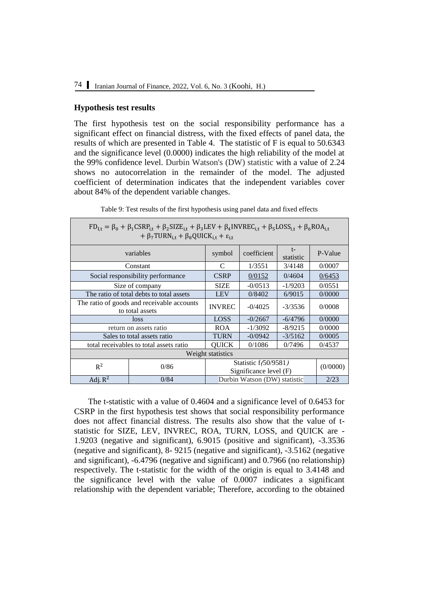#### **Hypothesis test results**

The first hypothesis test on the social responsibility performance has a significant effect on financial distress, with the fixed effects of panel data, the results of which are presented in Table 4. The statistic of F is equal to 50.6343 and the significance level (0.0000) indicates the high reliability of the model at the 99% confidence level. Durbin Watson's (DW) statistic with a value of 2.24 shows no autocorrelation in the remainder of the model. The adjusted coefficient of determination indicates that the independent variables cover about 84% of the dependent variable changes.

| $FD_{1,t} = \beta_0 + \beta_1 CSRP_{i,t} + \beta_2 SIZE_{i,t} + \beta_3 LEV + \beta_4 INVREC_{i,t} + \beta_5 LOS_{i,t} + \beta_6 ROA_{i,t}$<br>+ $\beta_7$ TURN <sub>i,t</sub> + $\beta_8$ QUICK <sub>i,t</sub> + $\varepsilon$ <sub>i,t</sub> |                                         |                                                  |                              |           |        |  |  |
|------------------------------------------------------------------------------------------------------------------------------------------------------------------------------------------------------------------------------------------------|-----------------------------------------|--------------------------------------------------|------------------------------|-----------|--------|--|--|
| variables                                                                                                                                                                                                                                      | symbol                                  | coefficient                                      | $t-$<br>statistic            | P-Value   |        |  |  |
|                                                                                                                                                                                                                                                | Constant                                | C                                                | 1/3551                       | 3/4148    | 0/0007 |  |  |
| Social responsibility performance                                                                                                                                                                                                              | <b>CSRP</b>                             | 0/0152                                           | 0/4604                       | 0/6453    |        |  |  |
| Size of company                                                                                                                                                                                                                                | <b>SIZE</b>                             | $-0/0513$                                        | $-1/9203$                    | 0/0551    |        |  |  |
| The ratio of total debts to total assets                                                                                                                                                                                                       | <b>LEV</b>                              | 0/8402                                           | 6/9015                       | 0/0000    |        |  |  |
| The ratio of goods and receivable accounts<br>to total assets                                                                                                                                                                                  | <b>INVREC</b>                           | $-0/4025$                                        | $-3/3536$                    | 0/0008    |        |  |  |
|                                                                                                                                                                                                                                                | loss                                    | <b>LOSS</b>                                      | $-0/2667$                    | $-6/4796$ | 0/0000 |  |  |
|                                                                                                                                                                                                                                                | return on assets ratio                  | <b>ROA</b>                                       | $-1/3092$                    | $-8/9215$ | 0/0000 |  |  |
|                                                                                                                                                                                                                                                | Sales to total assets ratio             | <b>TURN</b>                                      | $-0/0942$                    | $-3/5162$ | 0/0005 |  |  |
|                                                                                                                                                                                                                                                | total receivables to total assets ratio | <b>QUICK</b>                                     | 0/1086                       | 0/7496    | 0/4537 |  |  |
|                                                                                                                                                                                                                                                |                                         | Weight statistics                                |                              |           |        |  |  |
| $R^2$                                                                                                                                                                                                                                          | 0/86                                    | Statistic f(50/9581)<br>Significance level $(F)$ | (0/0000)                     |           |        |  |  |
| Adj. $R^2$                                                                                                                                                                                                                                     | 0/84                                    |                                                  | Durbin Watson (DW) statistic |           | 2/23   |  |  |

Table 9: Test results of the first hypothesis using panel data and fixed effects

The t-statistic with a value of 0.4604 and a significance level of 0.6453 for CSRP in the first hypothesis test shows that social responsibility performance does not affect financial distress. The results also show that the value of tstatistic for SIZE, LEV, INVREC, ROA, TURN, LOSS, and QUICK are - 1.9203 (negative and significant), 6.9015 (positive and significant), -3.3536 (negative and significant), 8- 9215 (negative and significant), -3.5162 (negative and significant), -6.4796 (negative and significant) and 0.7966 (no relationship) respectively. The t-statistic for the width of the origin is equal to 3.4148 and the significance level with the value of 0.0007 indicates a significant relationship with the dependent variable; Therefore, according to the obtained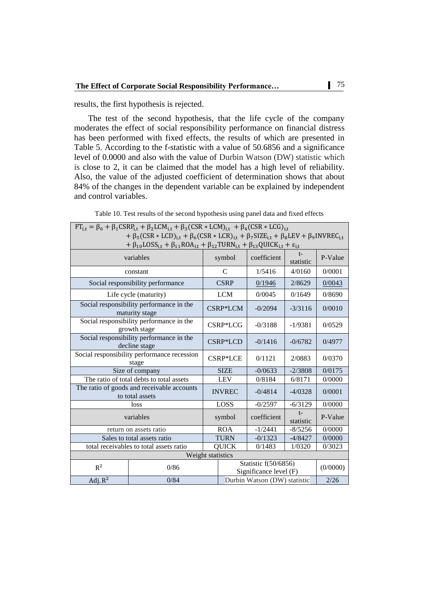results, the first hypothesis is rejected.

The test of the second hypothesis, that the life cycle of the company moderates the effect of social responsibility performance on financial distress has been performed with fixed effects, the results of which are presented in Table 5. According to the f-statistic with a value of 50.6856 and a significance level of 0.0000 and also with the value of Durbin Watson (DW) statistic which is close to 2, it can be claimed that the model has a high level of reliability. Also, the value of the adjusted coefficient of determination shows that about 84% of the changes in the dependent variable can be explained by independent and control variables.

| $FT_{i,t} = \beta_0 + \beta_1 CSRP_{i,t} + \beta_2 LCM_{i,t} + \beta_3 (CSR * LCM)_{i,t} + \beta_4 (CSR * LCG)_{i,t}$<br>+ $\beta_5(CSR * LCD)_{i,t}$ + $\beta_6(CSR * LCR)_{i,t}$ + $\beta_7 SIZE_{i,t}$ + $\beta_8 LEV$ + $\beta_9 IN VREC_{i,t}$<br>+ $\beta_{10}$ LOSS <sub>i,t</sub> + $\beta_{11}$ ROA <sub>i,t</sub> + $\beta_{12}$ TURN <sub>i,t</sub> + $\beta_{13}$ QUICK <sub>i,t</sub> + $\varepsilon_{i,t}$ |                                                               |             |               |                                                |                   |          |
|--------------------------------------------------------------------------------------------------------------------------------------------------------------------------------------------------------------------------------------------------------------------------------------------------------------------------------------------------------------------------------------------------------------------------|---------------------------------------------------------------|-------------|---------------|------------------------------------------------|-------------------|----------|
|                                                                                                                                                                                                                                                                                                                                                                                                                          | variables                                                     |             | symbol        | coefficient                                    | t-<br>statistic   | P-Value  |
|                                                                                                                                                                                                                                                                                                                                                                                                                          | constant                                                      |             | C             | 1/5416                                         | 4/0160            | 0/0001   |
|                                                                                                                                                                                                                                                                                                                                                                                                                          | Social responsibility performance                             |             | <b>CSRP</b>   | 0/1946                                         | 2/8629            | 0/0043   |
|                                                                                                                                                                                                                                                                                                                                                                                                                          | Life cycle (maturity)                                         |             | <b>LCM</b>    | 0/0045                                         | 0/1649            | 0/8690   |
| Social responsibility performance in the<br>maturity stage                                                                                                                                                                                                                                                                                                                                                               |                                                               |             | CSRP*LCM      | $-0/2094$                                      | $-3/3116$         | 0/0010   |
| Social responsibility performance in the<br>growth stage                                                                                                                                                                                                                                                                                                                                                                 |                                                               |             | CSRP*LCG      | $-0/3188$                                      | $-1/9381$         | 0/0529   |
| Social responsibility performance in the<br>decline stage                                                                                                                                                                                                                                                                                                                                                                |                                                               |             | CSRP*LCD      | $-0/1416$                                      | $-0/6782$         | 0/4977   |
| Social responsibility performance recession<br>stage                                                                                                                                                                                                                                                                                                                                                                     |                                                               |             | CSRP*LCE      | 0/1121                                         | 2/0883            | 0/0370   |
|                                                                                                                                                                                                                                                                                                                                                                                                                          | Size of company                                               |             | <b>SIZE</b>   | $-0/0633$                                      | $-2/3808$         | 0/0175   |
|                                                                                                                                                                                                                                                                                                                                                                                                                          | The ratio of total debts to total assets                      |             | <b>LEV</b>    | 0/8184                                         | 6/8171            | 0/0000   |
|                                                                                                                                                                                                                                                                                                                                                                                                                          | The ratio of goods and receivable accounts<br>to total assets |             | <b>INVREC</b> | $-0/4814$                                      | $-4/0328$         | 0/0001   |
|                                                                                                                                                                                                                                                                                                                                                                                                                          | loss                                                          | <b>LOSS</b> |               | $-0/2597$                                      | $-6/3129$         | 0/0000   |
|                                                                                                                                                                                                                                                                                                                                                                                                                          | variables                                                     |             | symbol        | coefficient                                    | $t-$<br>statistic | P-Value  |
|                                                                                                                                                                                                                                                                                                                                                                                                                          | return on assets ratio                                        |             | <b>ROA</b>    | $-1/2441$                                      | $-8/5256$         | 0/0000   |
|                                                                                                                                                                                                                                                                                                                                                                                                                          | Sales to total assets ratio                                   |             | <b>TURN</b>   | $-0/1323$                                      | $-4/8427$         | 0/0000   |
| total receivables to total assets ratio                                                                                                                                                                                                                                                                                                                                                                                  |                                                               |             | <b>QUICK</b>  | 0/1483                                         | 1/0320            | 0/3023   |
|                                                                                                                                                                                                                                                                                                                                                                                                                          | Weight statistics                                             |             |               |                                                |                   |          |
| $R^2$                                                                                                                                                                                                                                                                                                                                                                                                                    | 0/86                                                          |             |               | Statistic f(50/6856)<br>Significance level (F) |                   | (0/0000) |
| Adj. $R^2$                                                                                                                                                                                                                                                                                                                                                                                                               | 0/84                                                          |             |               | Durbin Watson (DW) statistic                   |                   | 2/26     |

Table 10. Test results of the second hypothesis using panel data and fixed effects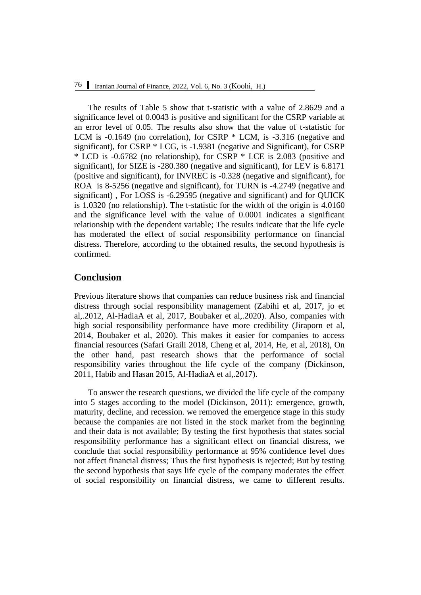The results of Table 5 show that t-statistic with a value of 2.8629 and a significance level of 0.0043 is positive and significant for the CSRP variable at an error level of 0.05. The results also show that the value of t-statistic for LCM is -0.1649 (no correlation), for CSRP \* LCM, is -3.316 (negative and significant), for CSRP \* LCG, is -1.9381 (negative and Significant), for CSRP \* LCD is -0.6782 (no relationship), for CSRP \* LCE is 2.083 (positive and significant), for SIZE is -280.380 (negative and significant), for LEV is 6.8171 (positive and significant), for INVREC is -0.328 (negative and significant), for ROA is 8-5256 (negative and significant), for TURN is -4.2749 (negative and significant) , For LOSS is -6.29595 (negative and significant) and for QUICK is 1.0320 (no relationship). The t-statistic for the width of the origin is 4.0160 and the significance level with the value of 0.0001 indicates a significant relationship with the dependent variable; The results indicate that the life cycle has moderated the effect of social responsibility performance on financial distress. Therefore, according to the obtained results, the second hypothesis is confirmed.

# **Conclusion**

Previous literature shows that companies can reduce business risk and financial distress through social responsibility management (Zabihi et al, 2017, jo et al,.2012, Al-HadiaA et al, 2017, Boubaker et al,.2020). Also, companies with high social responsibility performance have more credibility (Jiraporn et al, 2014, Boubaker et al, 2020). This makes it easier for companies to access financial resources (Safari Graili 2018, Cheng et al, 2014, He, et al, 2018), On the other hand, past research shows that the performance of social responsibility varies throughout the life cycle of the company (Dickinson, 2011, Habib and Hasan 2015, Al-HadiaA et al,.2017).

To answer the research questions, we divided the life cycle of the company into 5 stages according to the model (Dickinson, 2011): emergence, growth, maturity, decline, and recession. we removed the emergence stage in this study because the companies are not listed in the stock market from the beginning and their data is not available; By testing the first hypothesis that states social responsibility performance has a significant effect on financial distress, we conclude that social responsibility performance at 95% confidence level does not affect financial distress; Thus the first hypothesis is rejected; But by testing the second hypothesis that says life cycle of the company moderates the effect of social responsibility on financial distress, we came to different results.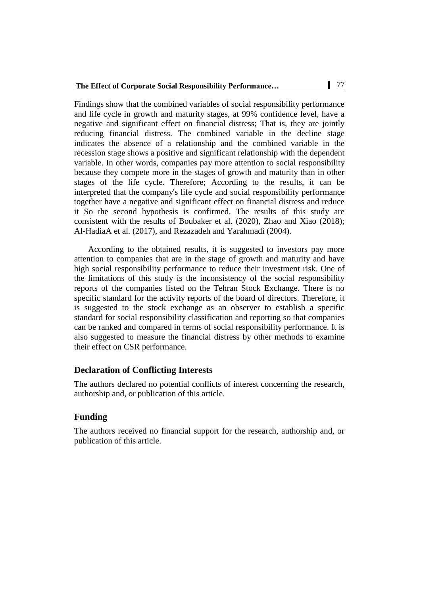Findings show that the combined variables of social responsibility performance and life cycle in growth and maturity stages, at 99% confidence level, have a negative and significant effect on financial distress; That is, they are jointly reducing financial distress. The combined variable in the decline stage indicates the absence of a relationship and the combined variable in the recession stage shows a positive and significant relationship with the dependent variable. In other words, companies pay more attention to social responsibility because they compete more in the stages of growth and maturity than in other stages of the life cycle. Therefore; According to the results, it can be interpreted that the company's life cycle and social responsibility performance together have a negative and significant effect on financial distress and reduce it So the second hypothesis is confirmed. The results of this study are consistent with the results of Boubaker et al. (2020), Zhao and Xiao (2018); Al-HadiaA et al. (2017), and Rezazadeh and Yarahmadi (2004).

According to the obtained results, it is suggested to investors pay more attention to companies that are in the stage of growth and maturity and have high social responsibility performance to reduce their investment risk. One of the limitations of this study is the inconsistency of the social responsibility reports of the companies listed on the Tehran Stock Exchange. There is no specific standard for the activity reports of the board of directors. Therefore, it is suggested to the stock exchange as an observer to establish a specific standard for social responsibility classification and reporting so that companies can be ranked and compared in terms of social responsibility performance. It is also suggested to measure the financial distress by other methods to examine their effect on CSR performance.

# **Declaration of Conflicting Interests**

The authors declared no potential conflicts of interest concerning the research, authorship and, or publication of this article.

# **Funding**

The authors received no financial support for the research, authorship and, or publication of this article.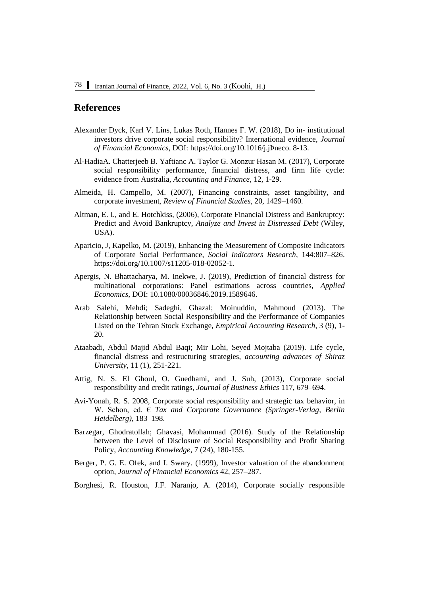# **References**

- Alexander Dyck, Karl V. Lins, Lukas Roth, Hannes F. W. (2018), Do in- institutional investors drive corporate social responsibility? International evidence, *Journal of Financial Economics*, DOI: [https://doi.org/10.1016/j.jÞneco. 8-13.](https://doi.org/10.1016/j.jÞneco.%208-13)
- Al-HadiaA. Chatterjeeb B. Yaftianc A. Taylor G. Monzur Hasan M. (2017), Corporate social responsibility performance, financial distress, and firm life cycle: evidence from Australia, *Accounting and Finance*, 12, 1-29.
- Almeida, H. Campello, M. (2007), Financing constraints, asset tangibility, and corporate investment, *Review of Financial Studies*, 20, 1429–1460.
- Altman, E. I., and E. Hotchkiss, (2006), Corporate Financial Distress and Bankruptcy: Predict and Avoid Bankruptcy, *Analyze and Invest in Distressed Debt* (Wiley, USA).
- Aparicio, J, Kapelko, M. (2019), Enhancing the Measurement of Composite Indicators of Corporate Social Performance, *Social Indicators Research*, 144:807–826. [https://doi.org/10.1007/s11205-018-02052-1.](https://doi.org/10.1007/s11205-018-02052-1)
- Apergis, N. Bhattacharya, M. Inekwe, J. (2019), Prediction of financial distress for multinational corporations: Panel estimations across countries, *Applied Economics*, DOI: 10.1080/00036846.2019.1589646.
- Arab Salehi, Mehdi; Sadeghi, Ghazal; Moinuddin, Mahmoud (2013). The Relationship between Social Responsibility and the Performance of Companies Listed on the Tehran Stock Exchange, *Empirical Accounting Research*, 3 (9), 1- 20.
- Ataabadi, Abdul Majid Abdul Baqi; Mir Lohi, Seyed Mojtaba (2019). Life cycle, financial distress and restructuring strategies, *accounting advances of Shiraz University*, 11 (1), 251-221.
- Attig, N. S. El Ghoul, O. Guedhami, and J. Suh, (2013), Corporate social responsibility and credit ratings, *Journal of Business Ethics* 117, 679–694.
- Avi-Yonah, R. S. 2008, Corporate social responsibility and strategic tax behavior, in W. Schon, ed. € *Tax and Corporate Governance (Springer-Verlag, Berlin Heidelberg)*, 183–198.
- Barzegar, Ghodratollah; Ghavasi, Mohammad (2016). Study of the Relationship between the Level of Disclosure of Social Responsibility and Profit Sharing Policy, *Accounting Knowledge*, 7 (24), 180-155.
- Berger, P. G. E. Ofek, and I. Swary. (1999), Investor valuation of the abandonment option, *Journal of Financial Economics* 42, 257–287.
- Borghesi, R. Houston, J.F. Naranjo, A. (2014), Corporate socially responsible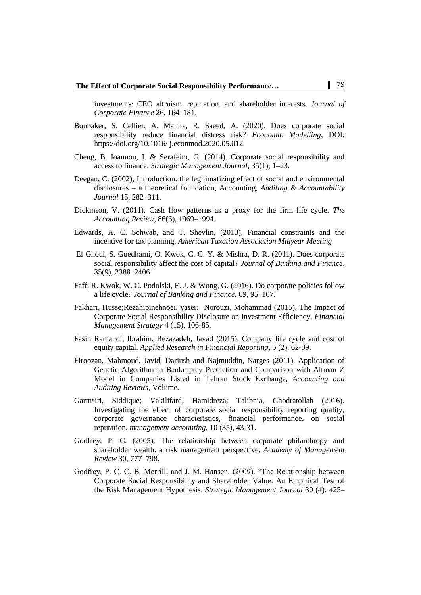investments: CEO altruism, reputation, and shareholder interests, *Journal of Corporate Finance* 26, 164–181.

- Boubaker, S. Cellier, A. Manita, R. Saeed, A. (2020). Does corporate social responsibility reduce financial distress risk? *Economic Modelling*, DOI: <https://doi.org/10.1016/> j.econmod.2020.05.012.
- Cheng, B. Ioannou, I. & Serafeim, G. (2014). Corporate social responsibility and access to finance. *Strategic Management Journal*, 35(1), 1–23.
- Deegan, C. (2002), Introduction: the legitimatizing effect of social and environmental disclosures – a theoretical foundation, Accounting, *Auditing & Accountability Journal* 15, 282–311.
- Dickinson, V. (2011). Cash flow patterns as a proxy for the firm life cycle. *The Accounting Review*, 86(6), 1969–1994.
- Edwards, A. C. Schwab, and T. Shevlin, (2013), Financial constraints and the incentive for tax planning, *American Taxation Association Midyear Meeting*.
- El Ghoul, S. Guedhami, O. Kwok, C. C. Y. & Mishra, D. R. (2011). Does corporate social responsibility affect the cost of capital*? Journal of Banking and Finance*, 35(9), 2388–2406.
- Faff, R. Kwok, W. C. Podolski, E. J. & Wong, G. (2016). Do corporate policies follow a life cycle? *Journal of Banking and Finance*, 69, 95–107.
- Fakhari, Husse;Rezahipinehnoei, yaser; Norouzi, Mohammad (2015). The Impact of Corporate Social Responsibility Disclosure on Investment Efficiency, *Financial Management Strategy* 4 (15), 106-85.
- Fasih Ramandi, Ibrahim; Rezazadeh, Javad (2015). Company life cycle and cost of equity capital. *Applied Research in Financial Reporting*, 5 (2), 62-39.
- Firoozan, Mahmoud, Javid, Dariush and Najmuddin, Narges (2011). Application of Genetic Algorithm in Bankruptcy Prediction and Comparison with Altman Z Model in Companies Listed in Tehran Stock Exchange, *Accounting and Auditing Reviews*, Volume.
- Garmsiri, Siddique; Vakilifard, Hamidreza; Talibnia, Ghodratollah (2016). Investigating the effect of corporate social responsibility reporting quality, corporate governance characteristics, financial performance, on social reputation, *management accounting*, 10 (35), 43-31.
- Godfrey, P. C. (2005), The relationship between corporate philanthropy and shareholder wealth: a risk management perspective, *Academy of Management Review* 30, 777–798.
- Godfrey, P. C. C. B. Merrill, and J. M. Hansen. (2009). "The Relationship between Corporate Social Responsibility and Shareholder Value: An Empirical Test of the Risk Management Hypothesis. *Strategic Management Journal* 30 (4): 425–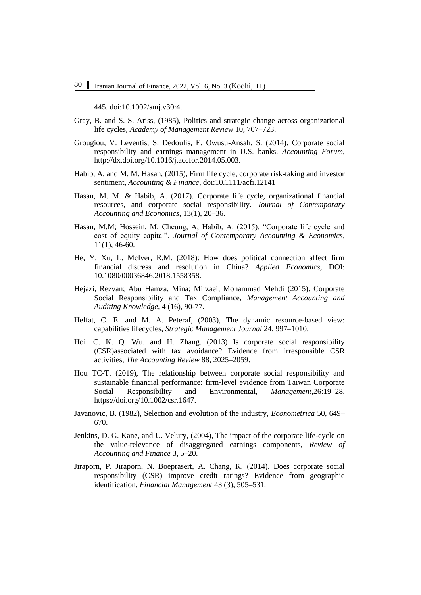445. doi:10.1002/smj.v30:4.

- Gray, B. and S. S. Ariss, (1985), Politics and strategic change across organizational life cycles, *Academy of Management Review* 10, 707–723.
- Grougiou, V. Leventis, S. Dedoulis, E. Owusu-Ansah, S. (2014). Corporate social responsibility and earnings management in U.S. banks. *Accounting Forum*, [http://dx.doi.org/10.1016/j.accfor.2014.05.003.](http://dx.doi.org/10.1016/j.accfor.2014.05.003)
- Habib, A. and M. M. Hasan, (2015), Firm life cycle, corporate risk-taking and investor sentiment, *Accounting & Finance*, doi:10.1111/acfi.12141
- Hasan, M. M. & Habib, A. (2017). Corporate life cycle, organizational financial resources, and corporate social responsibility. *Journal of Contemporary Accounting and Economics*, 13(1), 20–36.
- Hasan, M.M; Hossein, M; Cheung, A; Habib, A. (2015). "Corporate life cycle and cost of equity capital", *Journal of Contemporary Accounting & Economics*, 11(1), 46-60.
- He, Y. Xu, L. McIver, R.M. (2018): How does political connection affect firm financial distress and resolution in China? *Applied Economics*, DOI: 10.1080/00036846.2018.1558358.
- Hejazi, Rezvan; Abu Hamza, Mina; Mirzaei, Mohammad Mehdi (2015). Corporate Social Responsibility and Tax Compliance, *Management Accounting and Auditing Knowledge*, 4 (16), 90-77.
- Helfat, C. E. and M. A. Peteraf, (2003), The dynamic resource-based view: capabilities lifecycles, *Strategic Management Journal* 24, 997–1010.
- Hoi, C. K. Q. Wu, and H. Zhang. (2013) Is corporate social responsibility (CSR)associated with tax avoidance? Evidence from irresponsible CSR activities, *The Accounting Review* 88, 2025–2059.
- Hou TC-T. (2019), The relationship between corporate social responsibility and sustainable financial performance: firm‐level evidence from Taiwan Corporate Social Responsibility and Environmental, *Management*,26:19–28. [https://doi.org/10.1002/csr.1647.](https://doi.org/10.1002/csr.1647)
- Javanovic, B. (1982), Selection and evolution of the industry, *Econometrica* 50, 649– 670.
- Jenkins, D. G. Kane, and U. Velury, (2004), The impact of the corporate life-cycle on the value-relevance of disaggregated earnings components*, Review of Accounting and Finance* 3, 5–20.
- Jiraporn, P. Jiraporn, N. Boeprasert, A. Chang, K. (2014). Does corporate social responsibility (CSR) improve credit ratings? Evidence from geographic identification. *Financial Management* 43 (3), 505–531.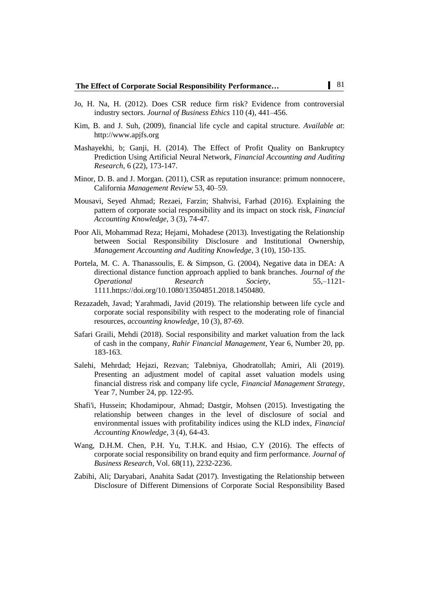- Jo, H. Na, H. (2012). Does CSR reduce firm risk? Evidence from controversial industry sectors. *Journal of Business Ethics* 110 (4), 441–456.
- Kim, B. and J. Suh, (2009), financial life cycle and capital structure. *Available at*: [http://www.apjfs.org](http://www.apjfs.org/)
- Mashayekhi, b; Ganji, H. (2014). The Effect of Profit Quality on Bankruptcy Prediction Using Artificial Neural Network, *Financial Accounting and Auditing Research*, 6 (22), 173-147.
- Minor, D. B. and J. Morgan. (2011), CSR as reputation insurance: primum nonnocere, California *Management Review* 53, 40–59.
- Mousavi, Seyed Ahmad; Rezaei, Farzin; Shahvisi, Farhad (2016). Explaining the pattern of corporate social responsibility and its impact on stock risk, *Financial Accounting Knowledge*, 3 (3), 74-47.
- Poor Ali, Mohammad Reza; Hejami, Mohadese (2013). Investigating the Relationship between Social Responsibility Disclosure and Institutional Ownership, *Management Accounting and Auditing Knowledge*, 3 (10), 150-135.
- Portela, M. C. A. Thanassoulis, E. & Simpson, G. (2004), Negative data in DEA: A directional distance function approach applied to bank branches. *Journal of the Operational Research Society*, 55,–1121- 1111[.https://doi.org/10.1080/13504851.2018.1450480.](https://doi.org/10.1080/13504851.2018.1450480)
- Rezazadeh, Javad; Yarahmadi, Javid (2019). The relationship between life cycle and corporate social responsibility with respect to the moderating role of financial resources, *accounting knowledge*, 10 (3), 87-69.
- Safari Graili, Mehdi (2018). Social responsibility and market valuation from the lack of cash in the company, *Rahir Financial Management*, Year 6, Number 20, pp. 183-163.
- Salehi, Mehrdad; Hejazi, Rezvan; Talebniya, Ghodratollah; Amiri, Ali (2019). Presenting an adjustment model of capital asset valuation models using financial distress risk and company life cycle, *Financial Management Strategy*, Year 7, Number 24, pp. 122-95.
- Shafi'i, Hussein; Khodamipour, Ahmad; Dastgir, Mohsen (2015). Investigating the relationship between changes in the level of disclosure of social and environmental issues with profitability indices using the KLD index, *Financial Accounting Knowledge*, 3 (4), 64-43.
- Wang, D.H.M. Chen, P.H. Yu, T.H.K. and Hsiao, C.Y (2016). The effects of corporate social responsibility on brand equity and firm performance. *Journal of Business Research*, Vol. 68(11), 2232-2236.
- Zabihi, Ali; Daryabari, Anahita Sadat (2017). Investigating the Relationship between Disclosure of Different Dimensions of Corporate Social Responsibility Based